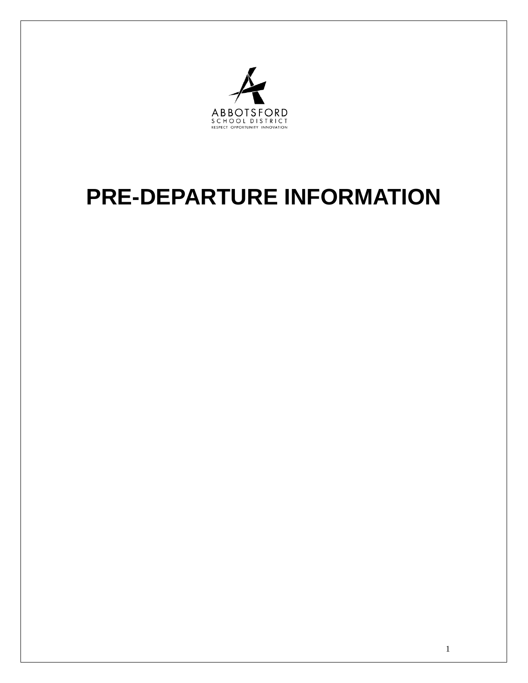

# **PRE-DEPARTURE INFORMATION**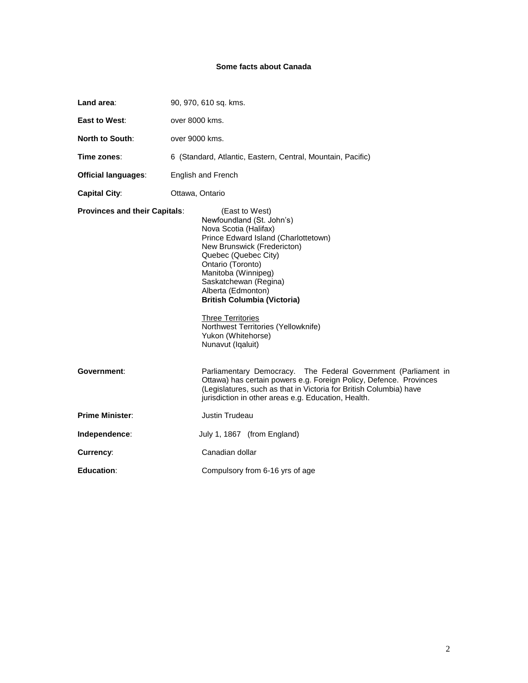# **Some facts about Canada**

| Land area:                           | 90, 970, 610 sq. kms.                                                                                                                                                                                                                                                                                                                                                                                              |
|--------------------------------------|--------------------------------------------------------------------------------------------------------------------------------------------------------------------------------------------------------------------------------------------------------------------------------------------------------------------------------------------------------------------------------------------------------------------|
| East to West:                        | over 8000 kms.                                                                                                                                                                                                                                                                                                                                                                                                     |
| <b>North to South:</b>               | over 9000 kms.                                                                                                                                                                                                                                                                                                                                                                                                     |
| Time zones:                          | 6 (Standard, Atlantic, Eastern, Central, Mountain, Pacific)                                                                                                                                                                                                                                                                                                                                                        |
| <b>Official languages:</b>           | English and French                                                                                                                                                                                                                                                                                                                                                                                                 |
| <b>Capital City:</b>                 | Ottawa, Ontario                                                                                                                                                                                                                                                                                                                                                                                                    |
| <b>Provinces and their Capitals:</b> | (East to West)<br>Newfoundland (St. John's)<br>Nova Scotia (Halifax)<br>Prince Edward Island (Charlottetown)<br>New Brunswick (Fredericton)<br>Quebec (Quebec City)<br>Ontario (Toronto)<br>Manitoba (Winnipeg)<br>Saskatchewan (Regina)<br>Alberta (Edmonton)<br><b>British Columbia (Victoria)</b><br><b>Three Territories</b><br>Northwest Territories (Yellowknife)<br>Yukon (Whitehorse)<br>Nunavut (Iqaluit) |
| Government:                          | Parliamentary Democracy. The Federal Government (Parliament in<br>Ottawa) has certain powers e.g. Foreign Policy, Defence. Provinces<br>(Legislatures, such as that in Victoria for British Columbia) have<br>jurisdiction in other areas e.g. Education, Health.                                                                                                                                                  |
| <b>Prime Minister:</b>               | Justin Trudeau                                                                                                                                                                                                                                                                                                                                                                                                     |
| Independence:                        | July 1, 1867 (from England)                                                                                                                                                                                                                                                                                                                                                                                        |
| Currency:                            | Canadian dollar                                                                                                                                                                                                                                                                                                                                                                                                    |
| Education:                           | Compulsory from 6-16 yrs of age                                                                                                                                                                                                                                                                                                                                                                                    |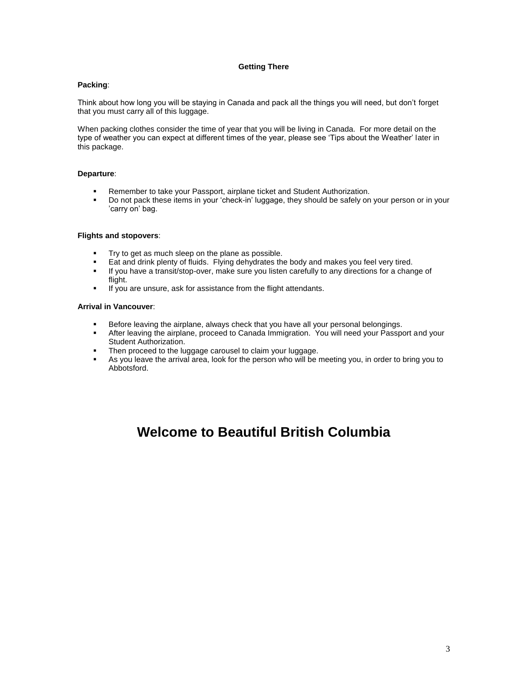# **Getting There**

# **Packing**:

Think about how long you will be staying in Canada and pack all the things you will need, but don't forget that you must carry all of this luggage.

When packing clothes consider the time of year that you will be living in Canada. For more detail on the type of weather you can expect at different times of the year, please see 'Tips about the Weather' later in this package.

# **Departure**:

- Remember to take your Passport, airplane ticket and Student Authorization.
- Do not pack these items in your 'check-in' luggage, they should be safely on your person or in your 'carry on' bag.

# **Flights and stopovers**:

- Try to get as much sleep on the plane as possible.
- Eat and drink plenty of fluids. Flying dehydrates the body and makes you feel very tired.
- If you have a transit/stop-over, make sure you listen carefully to any directions for a change of flight.
- If you are unsure, ask for assistance from the flight attendants.

# **Arrival in Vancouver**:

- **Before leaving the airplane, always check that you have all your personal belongings.**
- After leaving the airplane, proceed to Canada Immigration. You will need your Passport and your Student Authorization.
- Then proceed to the luggage carousel to claim your luggage.<br>As you leave the arrival area, look for the person who will be a
- As you leave the arrival area, look for the person who will be meeting you, in order to bring you to Abbotsford.

# **Welcome to Beautiful British Columbia**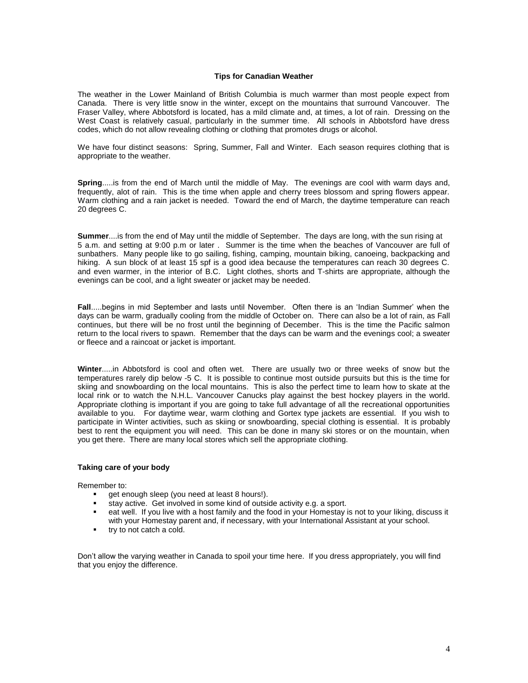# **Tips for Canadian Weather**

The weather in the Lower Mainland of British Columbia is much warmer than most people expect from Canada. There is very little snow in the winter, except on the mountains that surround Vancouver. The Fraser Valley, where Abbotsford is located, has a mild climate and, at times, a lot of rain. Dressing on the West Coast is relatively casual, particularly in the summer time. All schools in Abbotsford have dress codes, which do not allow revealing clothing or clothing that promotes drugs or alcohol.

We have four distinct seasons: Spring, Summer, Fall and Winter. Each season requires clothing that is appropriate to the weather.

**Spring**.....is from the end of March until the middle of May. The evenings are cool with warm days and, frequently, alot of rain. This is the time when apple and cherry trees blossom and spring flowers appear. Warm clothing and a rain jacket is needed. Toward the end of March, the daytime temperature can reach 20 degrees C.

**Summer**....is from the end of May until the middle of September. The days are long, with the sun rising at 5 a.m. and setting at 9:00 p.m or later . Summer is the time when the beaches of Vancouver are full of sunbathers. Many people like to go sailing, fishing, camping, mountain biking, canoeing, backpacking and hiking. A sun block of at least 15 spf is a good idea because the temperatures can reach 30 degrees C. and even warmer, in the interior of B.C. Light clothes, shorts and T-shirts are appropriate, although the evenings can be cool, and a light sweater or jacket may be needed.

**Fall**.....begins in mid September and lasts until November. Often there is an 'Indian Summer' when the days can be warm, gradually cooling from the middle of October on. There can also be a lot of rain, as Fall continues, but there will be no frost until the beginning of December. This is the time the Pacific salmon return to the local rivers to spawn. Remember that the days can be warm and the evenings cool; a sweater or fleece and a raincoat or jacket is important.

**Winter**.....in Abbotsford is cool and often wet. There are usually two or three weeks of snow but the temperatures rarely dip below -5 C. It is possible to continue most outside pursuits but this is the time for skiing and snowboarding on the local mountains. This is also the perfect time to learn how to skate at the local rink or to watch the N.H.L. Vancouver Canucks play against the best hockey players in the world. Appropriate clothing is important if you are going to take full advantage of all the recreational opportunities available to you. For daytime wear, warm clothing and Gortex type jackets are essential. If you wish to participate in Winter activities, such as skiing or snowboarding, special clothing is essential. It is probably best to rent the equipment you will need. This can be done in many ski stores or on the mountain, when you get there. There are many local stores which sell the appropriate clothing.

#### **Taking care of your body**

Remember to:

- get enough sleep (you need at least 8 hours!).
- stay active. Get involved in some kind of outside activity e.g. a sport.
- eat well. If you live with a host family and the food in your Homestay is not to your liking, discuss it with your Homestay parent and, if necessary, with your International Assistant at your school.
- **try to not catch a cold.**

Don't allow the varying weather in Canada to spoil your time here. If you dress appropriately, you will find that you enjoy the difference.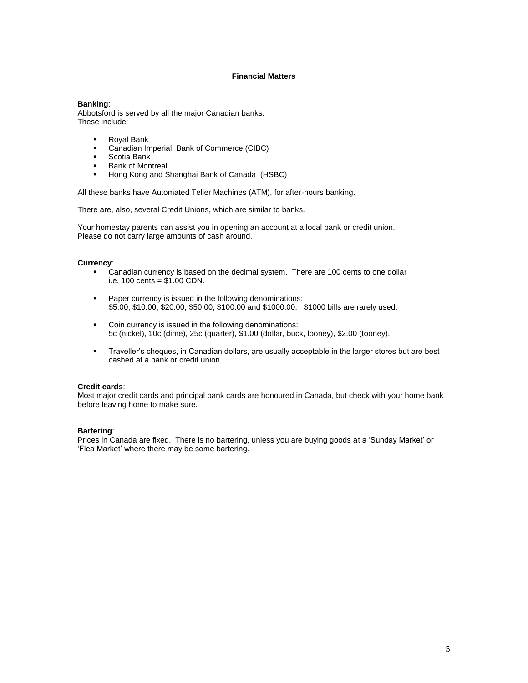# **Financial Matters**

### **Banking**:

Abbotsford is served by all the major Canadian banks. These include:

- Royal Bank
- Canadian Imperial Bank of Commerce (CIBC)
- Scotia Bank
- **Bank of Montreal**
- **Hong Kong and Shanghai Bank of Canada (HSBC)**

All these banks have Automated Teller Machines (ATM), for after-hours banking.

There are, also, several Credit Unions, which are similar to banks.

Your homestay parents can assist you in opening an account at a local bank or credit union. Please do not carry large amounts of cash around.

#### **Currency**:

- Canadian currency is based on the decimal system. There are 100 cents to one dollar i.e. 100 cents = \$1.00 CDN.
- **Paper currency is issued in the following denominations:** \$5.00, \$10.00, \$20.00, \$50.00, \$100.00 and \$1000.00. \$1000 bills are rarely used.
- Coin currency is issued in the following denominations: 5c (nickel), 10c (dime), 25c (quarter), \$1.00 (dollar, buck, looney), \$2.00 (tooney).
- Traveller's cheques, in Canadian dollars, are usually acceptable in the larger stores but are best cashed at a bank or credit union.

#### **Credit cards**:

Most major credit cards and principal bank cards are honoured in Canada, but check with your home bank before leaving home to make sure.

#### **Bartering**:

Prices in Canada are fixed. There is no bartering, unless you are buying goods at a 'Sunday Market' or 'Flea Market' where there may be some bartering.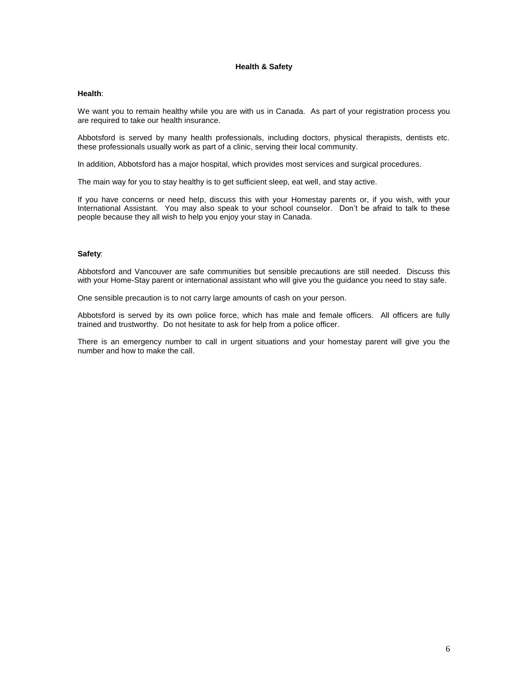# **Health & Safety**

#### **Health**:

We want you to remain healthy while you are with us in Canada. As part of your registration process you are required to take our health insurance.

Abbotsford is served by many health professionals, including doctors, physical therapists, dentists etc. these professionals usually work as part of a clinic, serving their local community.

In addition, Abbotsford has a major hospital, which provides most services and surgical procedures.

The main way for you to stay healthy is to get sufficient sleep, eat well, and stay active.

If you have concerns or need help, discuss this with your Homestay parents or, if you wish, with your International Assistant. You may also speak to your school counselor. Don't be afraid to talk to these people because they all wish to help you enjoy your stay in Canada.

# **Safety**:

Abbotsford and Vancouver are safe communities but sensible precautions are still needed. Discuss this with your Home-Stay parent or international assistant who will give you the guidance you need to stay safe.

One sensible precaution is to not carry large amounts of cash on your person.

Abbotsford is served by its own police force, which has male and female officers. All officers are fully trained and trustworthy. Do not hesitate to ask for help from a police officer.

There is an emergency number to call in urgent situations and your homestay parent will give you the number and how to make the call.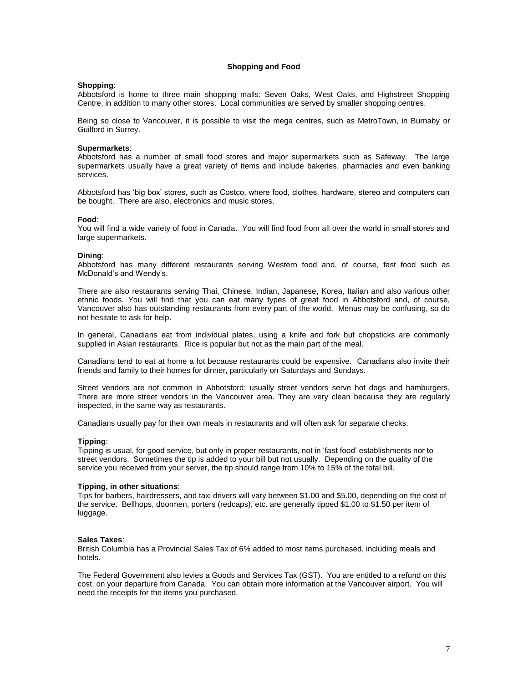#### **Shopping and Food**

#### **Shopping**:

Abbotsford is home to three main shopping malls: Seven Oaks, West Oaks, and Highstreet Shopping Centre, in addition to many other stores. Local communities are served by smaller shopping centres.

Being so close to Vancouver, it is possible to visit the mega centres, such as MetroTown, in Burnaby or Guilford in Surrey.

#### **Supermarkets**:

Abbotsford has a number of small food stores and major supermarkets such as Safeway. The large supermarkets usually have a great variety of items and include bakeries, pharmacies and even banking services.

Abbotsford has 'big box' stores, such as Costco, where food, clothes, hardware, stereo and computers can be bought. There are also, electronics and music stores.

#### **Food**:

You will find a wide variety of food in Canada. You will find food from all over the world in small stores and large supermarkets.

#### **Dining**:

Abbotsford has many different restaurants serving Western food and, of course, fast food such as McDonald's and Wendy's.

There are also restaurants serving Thai, Chinese, Indian, Japanese, Korea, Italian and also various other ethnic foods. You will find that you can eat many types of great food in Abbotsford and, of course, Vancouver also has outstanding restaurants from every part of the world. Menus may be confusing, so do not hesitate to ask for help.

In general, Canadians eat from individual plates, using a knife and fork but chopsticks are commonly supplied in Asian restaurants. Rice is popular but not as the main part of the meal.

Canadians tend to eat at home a lot because restaurants could be expensive. Canadians also invite their friends and family to their homes for dinner, particularly on Saturdays and Sundays.

Street vendors are not common in Abbotsford; usually street vendors serve hot dogs and hamburgers. There are more street vendors in the Vancouver area. They are very clean because they are regularly inspected, in the same way as restaurants.

Canadians usually pay for their own meals in restaurants and will often ask for separate checks.

#### **Tipping**:

Tipping is usual, for good service, but only in proper restaurants, not in 'fast food' establishments nor to street vendors. Sometimes the tip is added to your bill but not usually. Depending on the quality of the service you received from your server, the tip should range from 10% to 15% of the total bill.

#### **Tipping, in other situations**:

Tips for barbers, hairdressers, and taxi drivers will vary between \$1.00 and \$5.00, depending on the cost of the service. Bellhops, doormen, porters (redcaps), etc. are generally tipped \$1.00 to \$1.50 per item of luggage.

#### **Sales Taxes**:

British Columbia has a Provincial Sales Tax of 6% added to most items purchased, including meals and hotels.

The Federal Government also levies a Goods and Services Tax (GST). You are entitled to a refund on this cost, on your departure from Canada. You can obtain more information at the Vancouver airport. You will need the receipts for the items you purchased.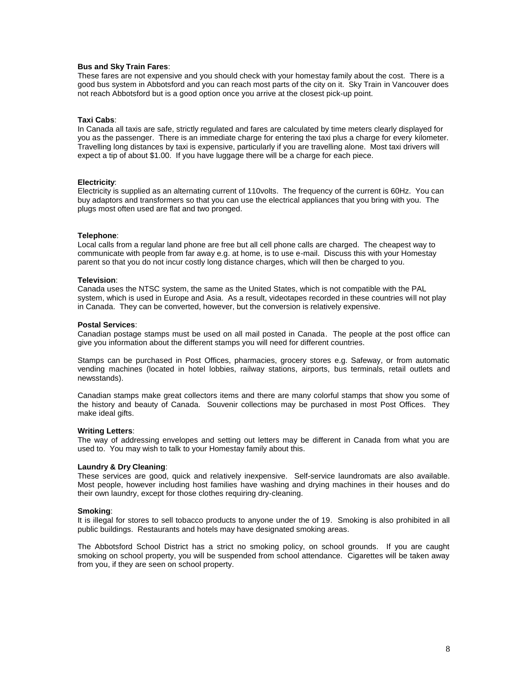#### **Bus and Sky Train Fares**:

These fares are not expensive and you should check with your homestay family about the cost. There is a good bus system in Abbotsford and you can reach most parts of the city on it. Sky Train in Vancouver does not reach Abbotsford but is a good option once you arrive at the closest pick-up point.

#### **Taxi Cabs**:

In Canada all taxis are safe, strictly regulated and fares are calculated by time meters clearly displayed for you as the passenger. There is an immediate charge for entering the taxi plus a charge for every kilometer. Travelling long distances by taxi is expensive, particularly if you are travelling alone. Most taxi drivers will expect a tip of about \$1.00. If you have luggage there will be a charge for each piece.

#### **Electricity**:

Electricity is supplied as an alternating current of 110volts. The frequency of the current is 60Hz. You can buy adaptors and transformers so that you can use the electrical appliances that you bring with you. The plugs most often used are flat and two pronged.

#### **Telephone**:

Local calls from a regular land phone are free but all cell phone calls are charged. The cheapest way to communicate with people from far away e.g. at home, is to use e-mail. Discuss this with your Homestay parent so that you do not incur costly long distance charges, which will then be charged to you.

#### **Television**:

Canada uses the NTSC system, the same as the United States, which is not compatible with the PAL system, which is used in Europe and Asia. As a result, videotapes recorded in these countries will not play in Canada. They can be converted, however, but the conversion is relatively expensive.

#### **Postal Services**:

Canadian postage stamps must be used on all mail posted in Canada. The people at the post office can give you information about the different stamps you will need for different countries.

Stamps can be purchased in Post Offices, pharmacies, grocery stores e.g. Safeway, or from automatic vending machines (located in hotel lobbies, railway stations, airports, bus terminals, retail outlets and newsstands).

Canadian stamps make great collectors items and there are many colorful stamps that show you some of the history and beauty of Canada. Souvenir collections may be purchased in most Post Offices. They make ideal gifts.

#### **Writing Letters**:

The way of addressing envelopes and setting out letters may be different in Canada from what you are used to. You may wish to talk to your Homestay family about this.

# **Laundry & Dry Cleaning**:

These services are good, quick and relatively inexpensive. Self-service laundromats are also available. Most people, however including host families have washing and drying machines in their houses and do their own laundry, except for those clothes requiring dry-cleaning.

#### **Smoking**:

It is illegal for stores to sell tobacco products to anyone under the of 19. Smoking is also prohibited in all public buildings. Restaurants and hotels may have designated smoking areas.

The Abbotsford School District has a strict no smoking policy, on school grounds. If you are caught smoking on school property, you will be suspended from school attendance. Cigarettes will be taken away from you, if they are seen on school property.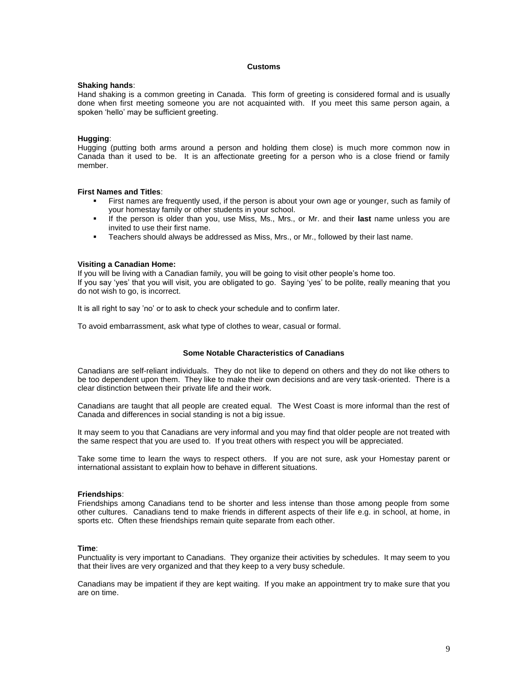# **Customs**

#### **Shaking hands**:

Hand shaking is a common greeting in Canada. This form of greeting is considered formal and is usually done when first meeting someone you are not acquainted with. If you meet this same person again, a spoken 'hello' may be sufficient greeting.

# **Hugging**:

Hugging (putting both arms around a person and holding them close) is much more common now in Canada than it used to be. It is an affectionate greeting for a person who is a close friend or family member.

#### **First Names and Titles**:

- First names are frequently used, if the person is about your own age or younger, such as family of your homestay family or other students in your school.
- If the person is older than you, use Miss, Ms., Mrs., or Mr. and their **last** name unless you are invited to use their first name.
- Teachers should always be addressed as Miss, Mrs., or Mr., followed by their last name.

#### **Visiting a Canadian Home:**

If you will be living with a Canadian family, you will be going to visit other people's home too. If you say 'yes' that you will visit, you are obligated to go. Saying 'yes' to be polite, really meaning that you do not wish to go, is incorrect.

It is all right to say 'no' or to ask to check your schedule and to confirm later.

To avoid embarrassment, ask what type of clothes to wear, casual or formal.

#### **Some Notable Characteristics of Canadians**

Canadians are self-reliant individuals. They do not like to depend on others and they do not like others to be too dependent upon them. They like to make their own decisions and are very task-oriented. There is a clear distinction between their private life and their work.

Canadians are taught that all people are created equal. The West Coast is more informal than the rest of Canada and differences in social standing is not a big issue.

It may seem to you that Canadians are very informal and you may find that older people are not treated with the same respect that you are used to. If you treat others with respect you will be appreciated.

Take some time to learn the ways to respect others. If you are not sure, ask your Homestay parent or international assistant to explain how to behave in different situations.

#### **Friendships**:

Friendships among Canadians tend to be shorter and less intense than those among people from some other cultures. Canadians tend to make friends in different aspects of their life e.g. in school, at home, in sports etc. Often these friendships remain quite separate from each other.

#### **Time**:

Punctuality is very important to Canadians. They organize their activities by schedules. It may seem to you that their lives are very organized and that they keep to a very busy schedule.

Canadians may be impatient if they are kept waiting. If you make an appointment try to make sure that you are on time.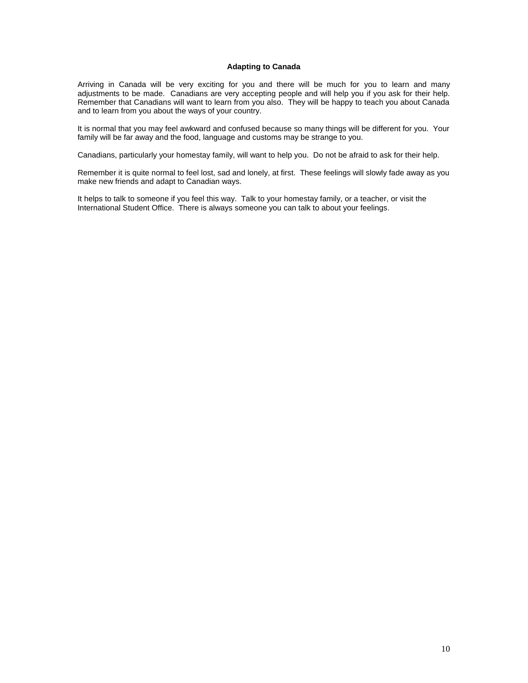# **Adapting to Canada**

Arriving in Canada will be very exciting for you and there will be much for you to learn and many adjustments to be made. Canadians are very accepting people and will help you if you ask for their help. Remember that Canadians will want to learn from you also. They will be happy to teach you about Canada and to learn from you about the ways of your country.

It is normal that you may feel awkward and confused because so many things will be different for you. Your family will be far away and the food, language and customs may be strange to you.

Canadians, particularly your homestay family, will want to help you. Do not be afraid to ask for their help.

Remember it is quite normal to feel lost, sad and lonely, at first. These feelings will slowly fade away as you make new friends and adapt to Canadian ways.

It helps to talk to someone if you feel this way. Talk to your homestay family, or a teacher, or visit the International Student Office. There is always someone you can talk to about your feelings.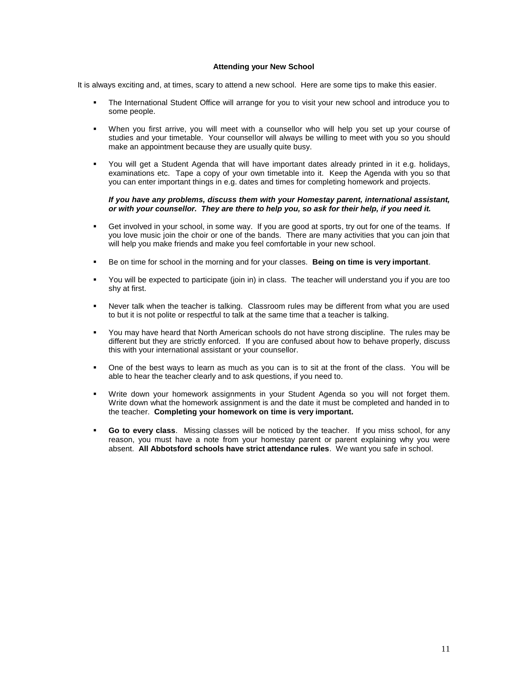#### **Attending your New School**

It is always exciting and, at times, scary to attend a new school. Here are some tips to make this easier.

- The International Student Office will arrange for you to visit your new school and introduce you to some people.
- When you first arrive, you will meet with a counsellor who will help you set up your course of studies and your timetable. Your counsellor will always be willing to meet with you so you should make an appointment because they are usually quite busy.
- You will get a Student Agenda that will have important dates already printed in it e.g. holidays, examinations etc. Tape a copy of your own timetable into it. Keep the Agenda with you so that you can enter important things in e.g. dates and times for completing homework and projects.

#### *If you have any problems, discuss them with your Homestay parent, international assistant, or with your counsellor. They are there to help you, so ask for their help, if you need it.*

- Get involved in your school, in some way. If you are good at sports, try out for one of the teams. If you love music join the choir or one of the bands. There are many activities that you can join that will help you make friends and make you feel comfortable in your new school.
- Be on time for school in the morning and for your classes. **Being on time is very important**.
- You will be expected to participate (join in) in class. The teacher will understand you if you are too shy at first.
- Never talk when the teacher is talking. Classroom rules may be different from what you are used to but it is not polite or respectful to talk at the same time that a teacher is talking.
- You may have heard that North American schools do not have strong discipline. The rules may be different but they are strictly enforced. If you are confused about how to behave properly, discuss this with your international assistant or your counsellor.
- One of the best ways to learn as much as you can is to sit at the front of the class. You will be able to hear the teacher clearly and to ask questions, if you need to.
- Write down your homework assignments in your Student Agenda so you will not forget them. Write down what the homework assignment is and the date it must be completed and handed in to the teacher. **Completing your homework on time is very important.**
- **Go to every class**. Missing classes will be noticed by the teacher. If you miss school, for any reason, you must have a note from your homestay parent or parent explaining why you were absent. **All Abbotsford schools have strict attendance rules**. We want you safe in school.